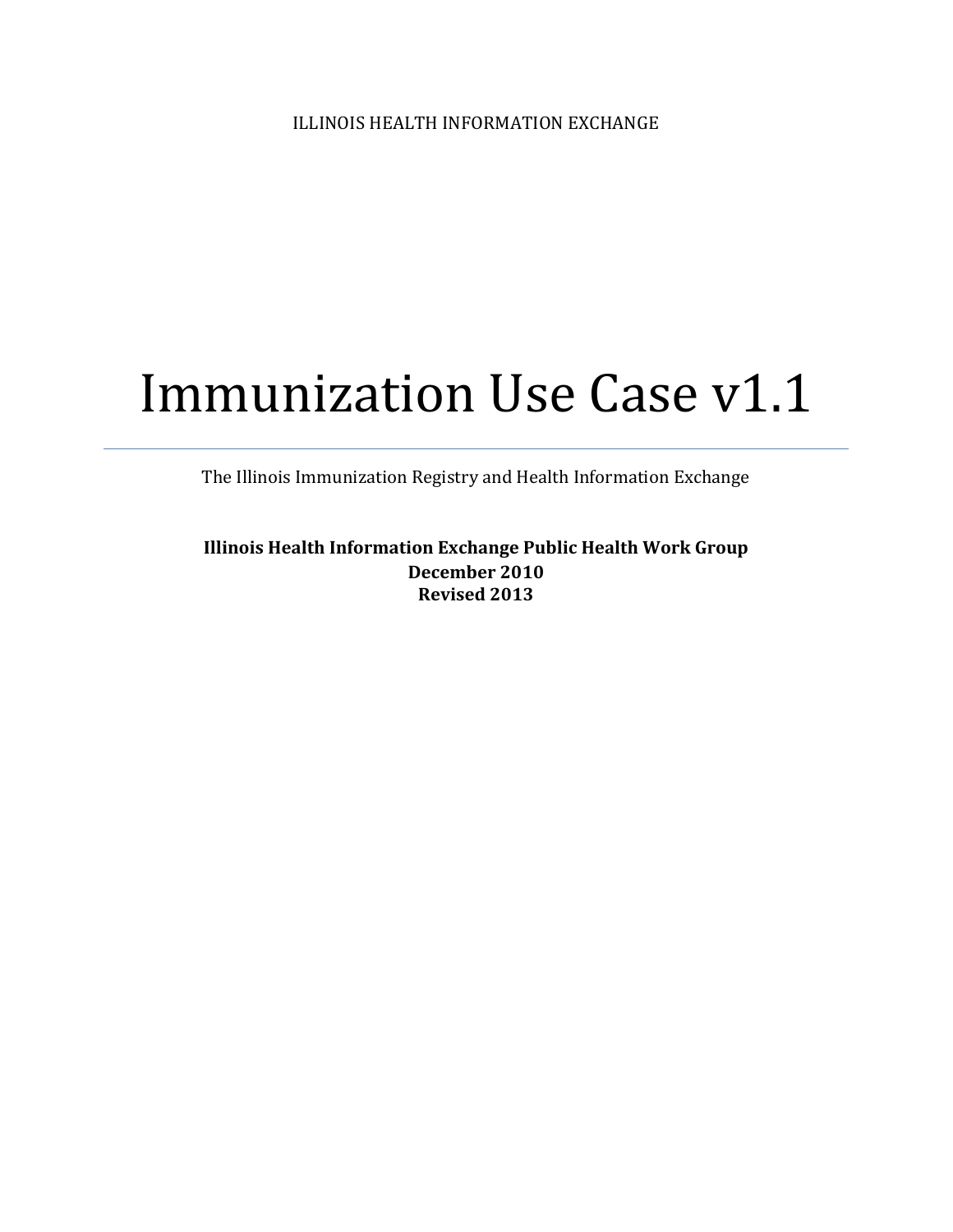# Immunization Use Case v1.1

The Illinois Immunization Registry and Health Information Exchange

**Illinois Health Information Exchange Public Health Work Group December 2010 Revised 2013**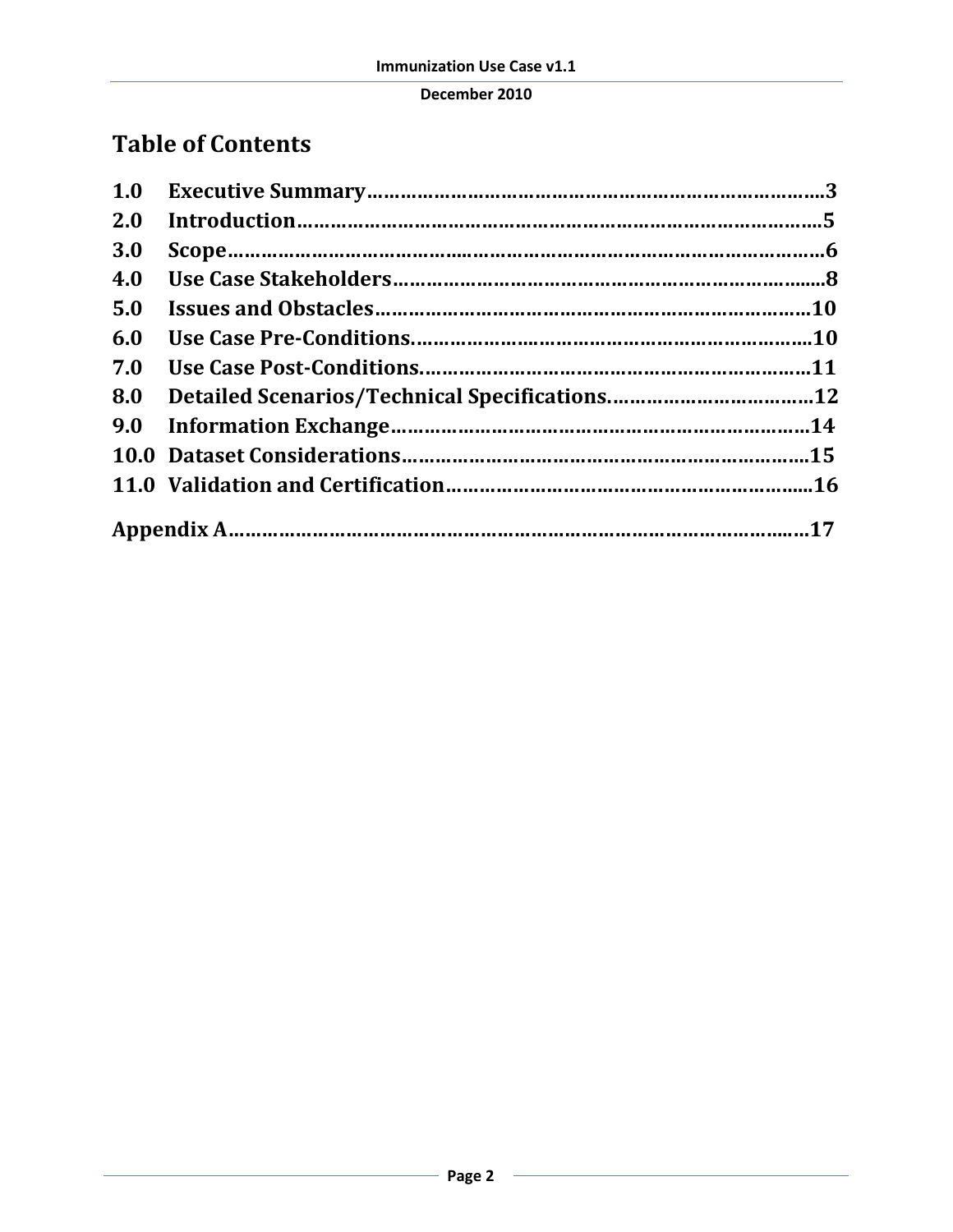## **Table of Contents**

| 1.0        |  |
|------------|--|
| <b>2.0</b> |  |
| <b>3.0</b> |  |
| 4.0        |  |
| 5.0        |  |
| 6.0        |  |
| 7.0        |  |
| 8.0        |  |
|            |  |
|            |  |
|            |  |
|            |  |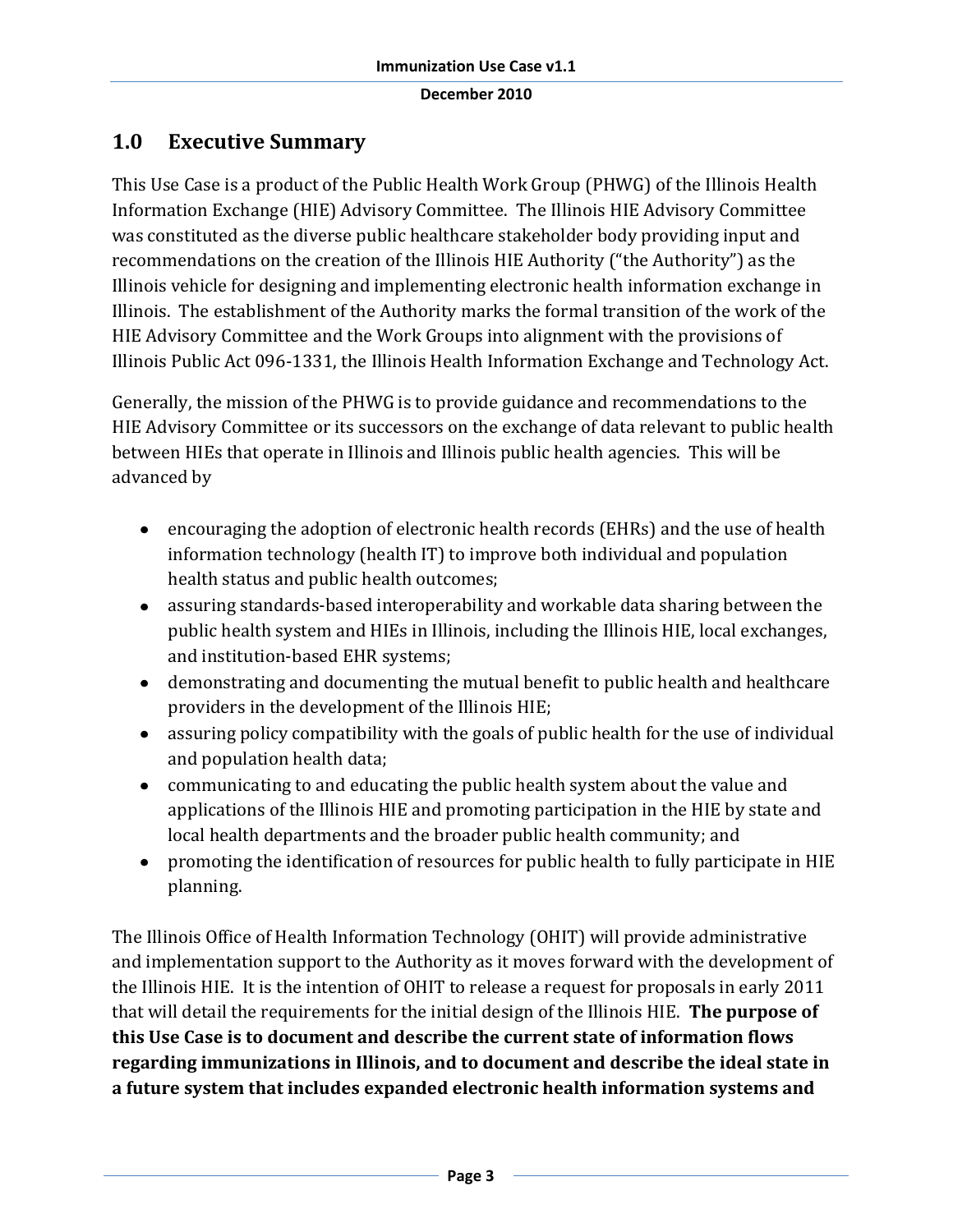## **1.0 Executive Summary**

This Use Case is a product of the Public Health Work Group (PHWG) of the Illinois Health Information Exchange (HIE) Advisory Committee. The Illinois HIE Advisory Committee was constituted as the diverse public healthcare stakeholder body providing input and recommendations on the creation of the Illinois HIE Authority ("the Authority") as the Illinois vehicle for designing and implementing electronic health information exchange in Illinois. The establishment of the Authority marks the formal transition of the work of the HIE Advisory Committee and the Work Groups into alignment with the provisions of Illinois Public Act 096-1331, the Illinois Health Information Exchange and Technology Act.

Generally, the mission of the PHWG is to provide guidance and recommendations to the HIE Advisory Committee or its successors on the exchange of data relevant to public health between HIEs that operate in Illinois and Illinois public health agencies. This will be advanced by

- encouraging the adoption of electronic health records (EHRs) and the use of health information technology (health IT) to improve both individual and population health status and public health outcomes;
- assuring standards-based interoperability and workable data sharing between the public health system and HIEs in Illinois, including the Illinois HIE, local exchanges, and institution-based EHR systems;
- demonstrating and documenting the mutual benefit to public health and healthcare providers in the development of the Illinois HIE;
- assuring policy compatibility with the goals of public health for the use of individual and population health data;
- communicating to and educating the public health system about the value and applications of the Illinois HIE and promoting participation in the HIE by state and local health departments and the broader public health community; and
- promoting the identification of resources for public health to fully participate in HIE planning.

The Illinois Office of Health Information Technology (OHIT) will provide administrative and implementation support to the Authority as it moves forward with the development of the Illinois HIE. It is the intention of OHIT to release a request for proposals in early 2011 that will detail the requirements for the initial design of the Illinois HIE. **The purpose of this Use Case is to document and describe the current state of information flows regarding immunizations in Illinois, and to document and describe the ideal state in a future system that includes expanded electronic health information systems and**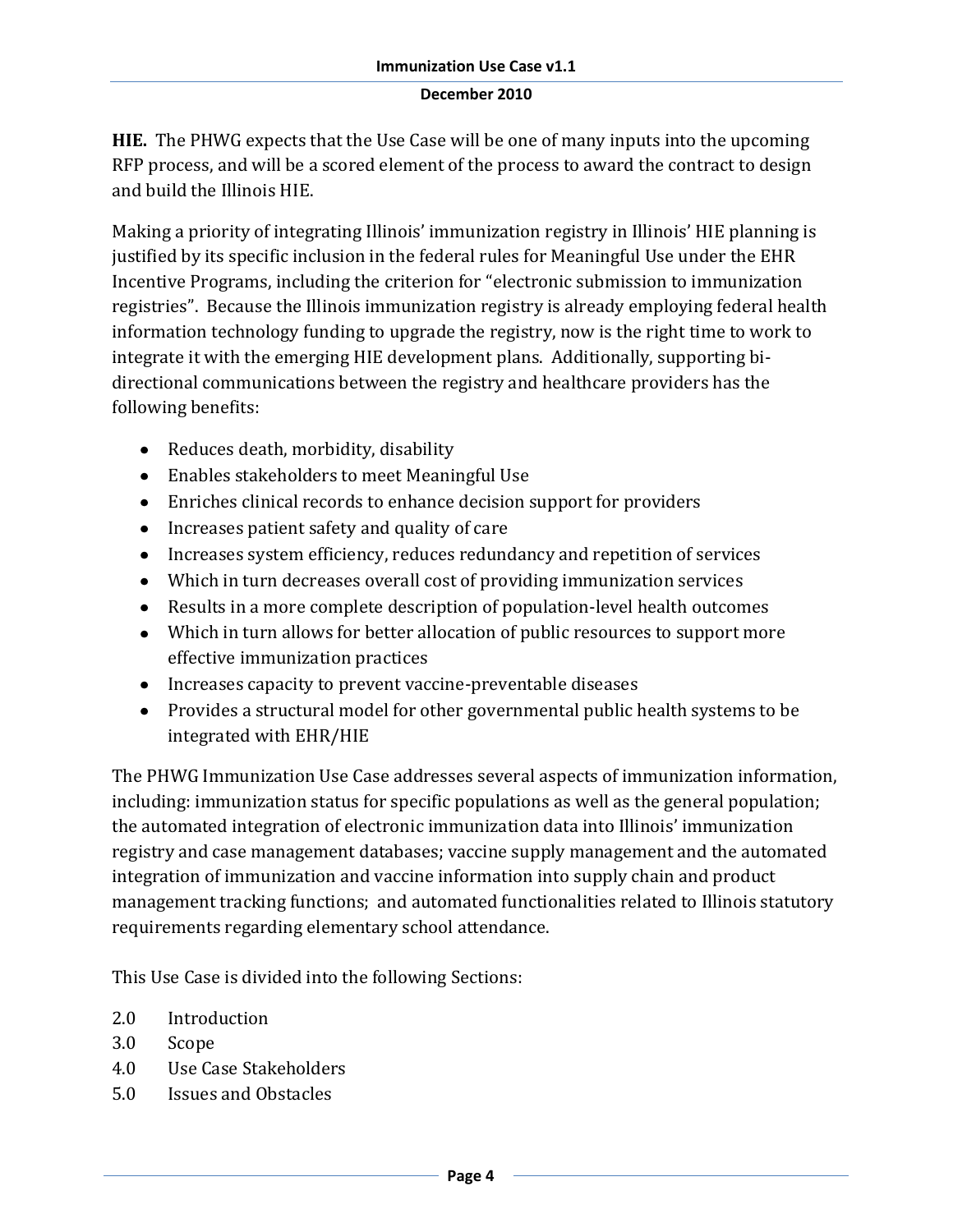**HIE.** The PHWG expects that the Use Case will be one of many inputs into the upcoming RFP process, and will be a scored element of the process to award the contract to design and build the Illinois HIE.

Making a priority of integrating Illinois' immunization registry in Illinois' HIE planning is justified by its specific inclusion in the federal rules for Meaningful Use under the EHR Incentive Programs, including the criterion for "electronic submission to immunization registries". Because the Illinois immunization registry is already employing federal health information technology funding to upgrade the registry, now is the right time to work to integrate it with the emerging HIE development plans. Additionally, supporting bidirectional communications between the registry and healthcare providers has the following benefits:

- Reduces death, morbidity, disability
- Enables stakeholders to meet Meaningful Use
- Enriches clinical records to enhance decision support for providers
- Increases patient safety and quality of care
- Increases system efficiency, reduces redundancy and repetition of services
- Which in turn decreases overall cost of providing immunization services
- Results in a more complete description of population-level health outcomes
- Which in turn allows for better allocation of public resources to support more effective immunization practices
- Increases capacity to prevent vaccine-preventable diseases
- Provides a structural model for other governmental public health systems to be integrated with EHR/HIE

The PHWG Immunization Use Case addresses several aspects of immunization information, including: immunization status for specific populations as well as the general population; the automated integration of electronic immunization data into Illinois' immunization registry and case management databases; vaccine supply management and the automated integration of immunization and vaccine information into supply chain and product management tracking functions; and automated functionalities related to Illinois statutory requirements regarding elementary school attendance.

This Use Case is divided into the following Sections:

- 2.0 Introduction
- 3.0 Scope
- 4.0 Use Case Stakeholders
- 5.0 Issues and Obstacles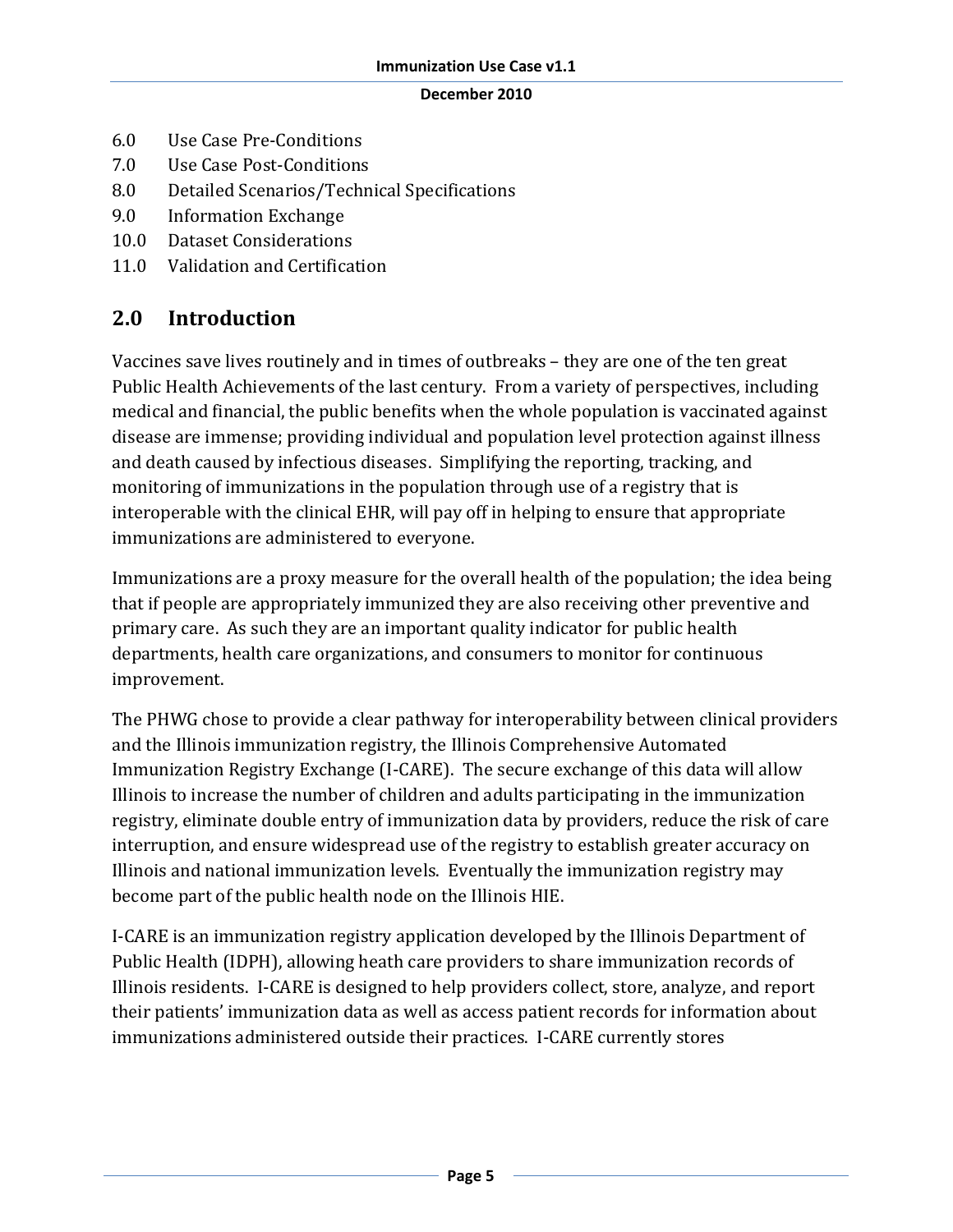- 6.0 Use Case Pre-Conditions
- 7.0 Use Case Post-Conditions
- 8.0 Detailed Scenarios/Technical Specifications
- 9.0 Information Exchange
- 10.0 Dataset Considerations
- 11.0 Validation and Certification

## **2.0 Introduction**

Vaccines save lives routinely and in times of outbreaks – they are one of the ten great Public Health Achievements of the last century. From a variety of perspectives, including medical and financial, the public benefits when the whole population is vaccinated against disease are immense; providing individual and population level protection against illness and death caused by infectious diseases. Simplifying the reporting, tracking, and monitoring of immunizations in the population through use of a registry that is interoperable with the clinical EHR, will pay off in helping to ensure that appropriate immunizations are administered to everyone.

Immunizations are a proxy measure for the overall health of the population; the idea being that if people are appropriately immunized they are also receiving other preventive and primary care. As such they are an important quality indicator for public health departments, health care organizations, and consumers to monitor for continuous improvement.

The PHWG chose to provide a clear pathway for interoperability between clinical providers and the Illinois immunization registry, the Illinois Comprehensive Automated Immunization Registry Exchange (I-CARE). The secure exchange of this data will allow Illinois to increase the number of children and adults participating in the immunization registry, eliminate double entry of immunization data by providers, reduce the risk of care interruption, and ensure widespread use of the registry to establish greater accuracy on Illinois and national immunization levels. Eventually the immunization registry may become part of the public health node on the Illinois HIE.

I-CARE is an immunization registry application developed by the Illinois Department of Public Health (IDPH), allowing heath care providers to share immunization records of Illinois residents. I-CARE is designed to help providers collect, store, analyze, and report their patients' immunization data as well as access patient records for information about immunizations administered outside their practices. I-CARE currently stores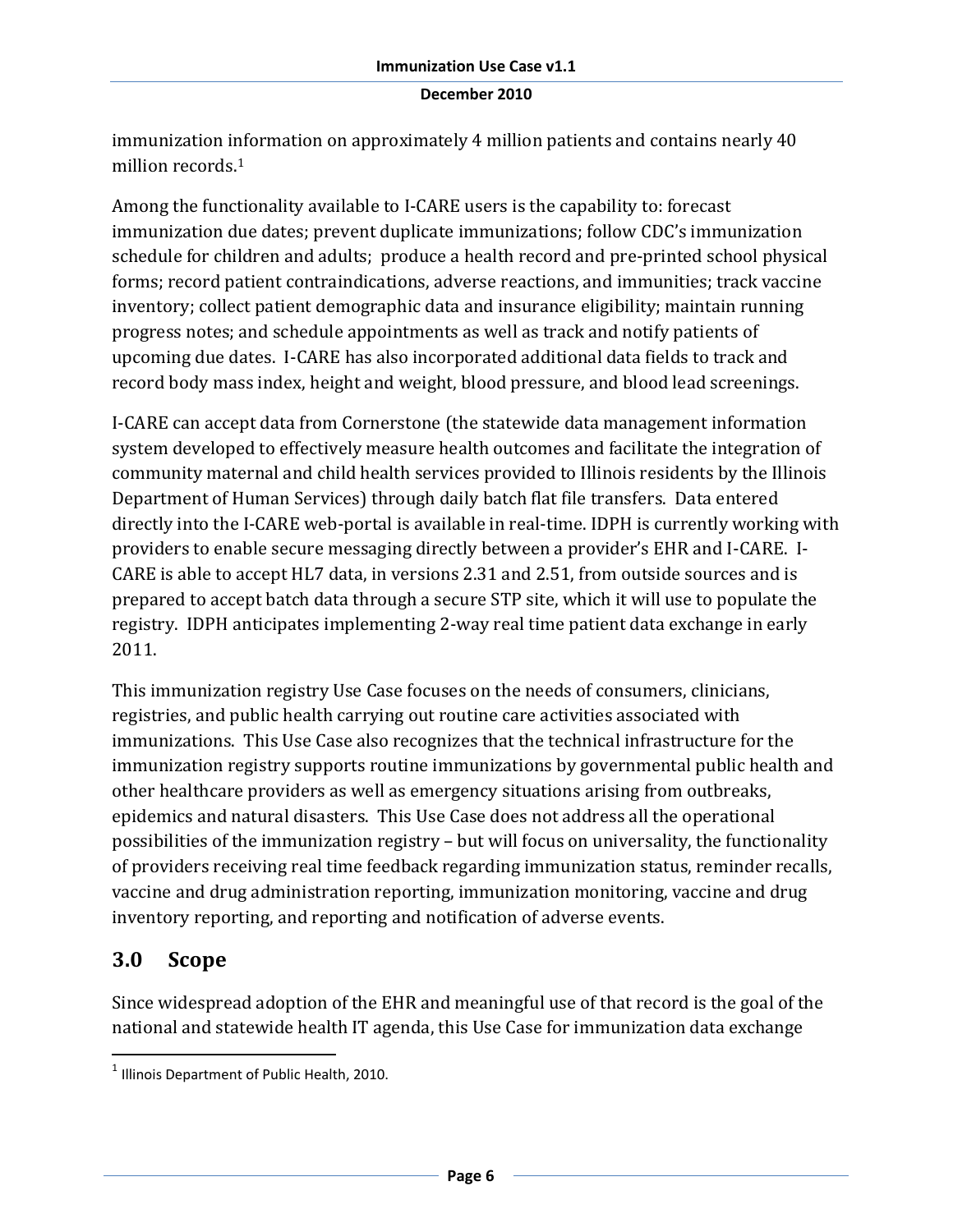immunization information on approximately 4 million patients and contains nearly 40 million records.<sup>1</sup>

Among the functionality available to I-CARE users is the capability to: forecast immunization due dates; prevent duplicate immunizations; follow CDC's immunization schedule for children and adults; produce a health record and pre-printed school physical forms; record patient contraindications, adverse reactions, and immunities; track vaccine inventory; collect patient demographic data and insurance eligibility; maintain running progress notes; and schedule appointments as well as track and notify patients of upcoming due dates. I-CARE has also incorporated additional data fields to track and record body mass index, height and weight, blood pressure, and blood lead screenings.

I-CARE can accept data from Cornerstone (the statewide data management information system developed to effectively measure health outcomes and facilitate the integration of community maternal and child health services provided to Illinois residents by the Illinois Department of Human Services) through daily batch flat file transfers. Data entered directly into the I-CARE web-portal is available in real-time. IDPH is currently working with providers to enable secure messaging directly between a provider's EHR and I-CARE. I-CARE is able to accept HL7 data, in versions 2.31 and 2.51, from outside sources and is prepared to accept batch data through a secure STP site, which it will use to populate the registry. IDPH anticipates implementing 2-way real time patient data exchange in early 2011.

This immunization registry Use Case focuses on the needs of consumers, clinicians, registries, and public health carrying out routine care activities associated with immunizations. This Use Case also recognizes that the technical infrastructure for the immunization registry supports routine immunizations by governmental public health and other healthcare providers as well as emergency situations arising from outbreaks, epidemics and natural disasters. This Use Case does not address all the operational possibilities of the immunization registry – but will focus on universality, the functionality of providers receiving real time feedback regarding immunization status, reminder recalls, vaccine and drug administration reporting, immunization monitoring, vaccine and drug inventory reporting, and reporting and notification of adverse events.

## **3.0 Scope**

l

Since widespread adoption of the EHR and meaningful use of that record is the goal of the national and statewide health IT agenda, this Use Case for immunization data exchange

 $<sup>1</sup>$  Illinois Department of Public Health, 2010.</sup>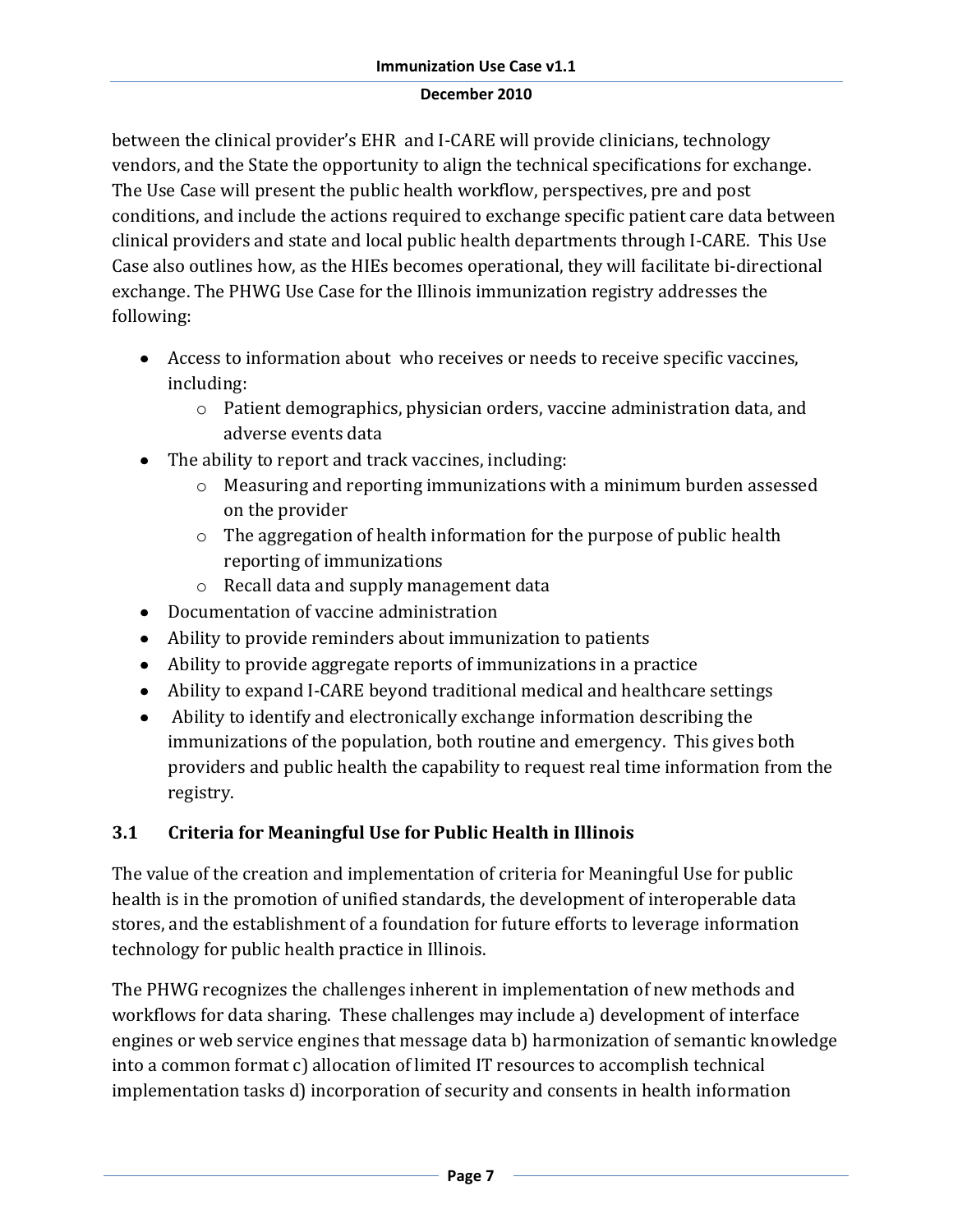between the clinical provider's EHR and I-CARE will provide clinicians, technology vendors, and the State the opportunity to align the technical specifications for exchange. The Use Case will present the public health workflow, perspectives, pre and post conditions, and include the actions required to exchange specific patient care data between clinical providers and state and local public health departments through I-CARE. This Use Case also outlines how, as the HIEs becomes operational, they will facilitate bi-directional exchange. The PHWG Use Case for the Illinois immunization registry addresses the following:

- Access to information about who receives or needs to receive specific vaccines, including:
	- o Patient demographics, physician orders, vaccine administration data, and adverse events data
- The ability to report and track vaccines, including:
	- o Measuring and reporting immunizations with a minimum burden assessed on the provider
	- o The aggregation of health information for the purpose of public health reporting of immunizations
	- o Recall data and supply management data
- Documentation of vaccine administration
- Ability to provide reminders about immunization to patients
- Ability to provide aggregate reports of immunizations in a practice
- Ability to expand I-CARE beyond traditional medical and healthcare settings
- Ability to identify and electronically exchange information describing the immunizations of the population, both routine and emergency. This gives both providers and public health the capability to request real time information from the registry.

## **3.1 Criteria for Meaningful Use for Public Health in Illinois**

The value of the creation and implementation of criteria for Meaningful Use for public health is in the promotion of unified standards, the development of interoperable data stores, and the establishment of a foundation for future efforts to leverage information technology for public health practice in Illinois.

The PHWG recognizes the challenges inherent in implementation of new methods and workflows for data sharing. These challenges may include a) development of interface engines or web service engines that message data b) harmonization of semantic knowledge into a common format c) allocation of limited IT resources to accomplish technical implementation tasks d) incorporation of security and consents in health information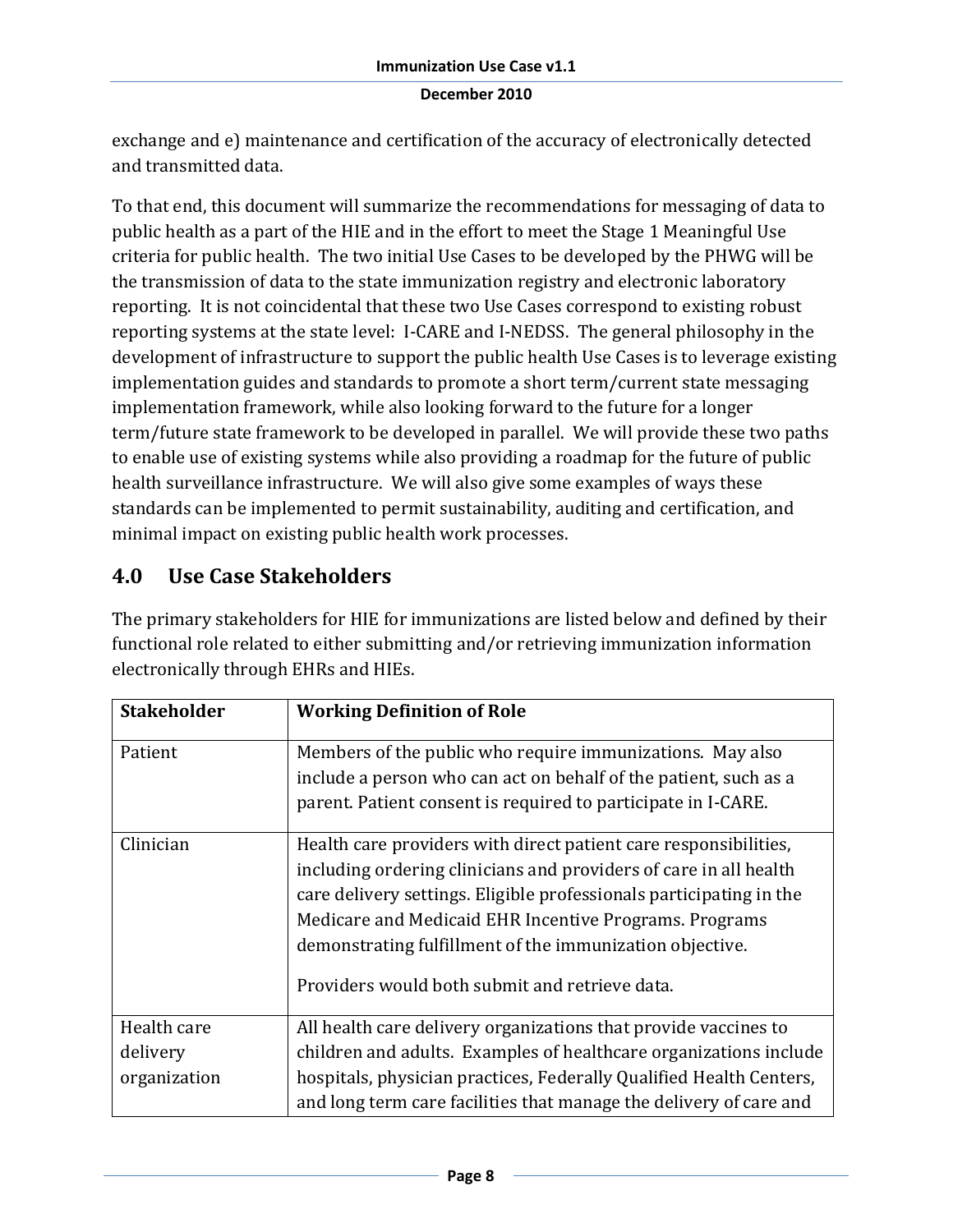exchange and e) maintenance and certification of the accuracy of electronically detected and transmitted data.

To that end, this document will summarize the recommendations for messaging of data to public health as a part of the HIE and in the effort to meet the Stage 1 Meaningful Use criteria for public health. The two initial Use Cases to be developed by the PHWG will be the transmission of data to the state immunization registry and electronic laboratory reporting. It is not coincidental that these two Use Cases correspond to existing robust reporting systems at the state level: I-CARE and I-NEDSS. The general philosophy in the development of infrastructure to support the public health Use Cases is to leverage existing implementation guides and standards to promote a short term/current state messaging implementation framework, while also looking forward to the future for a longer term/future state framework to be developed in parallel. We will provide these two paths to enable use of existing systems while also providing a roadmap for the future of public health surveillance infrastructure. We will also give some examples of ways these standards can be implemented to permit sustainability, auditing and certification, and minimal impact on existing public health work processes.

## **4.0 Use Case Stakeholders**

The primary stakeholders for HIE for immunizations are listed below and defined by their functional role related to either submitting and/or retrieving immunization information electronically through EHRs and HIEs.

| <b>Stakeholder</b> | <b>Working Definition of Role</b>                                   |
|--------------------|---------------------------------------------------------------------|
| Patient            | Members of the public who require immunizations. May also           |
|                    | include a person who can act on behalf of the patient, such as a    |
|                    | parent. Patient consent is required to participate in I-CARE.       |
| Clinician          | Health care providers with direct patient care responsibilities,    |
|                    | including ordering clinicians and providers of care in all health   |
|                    | care delivery settings. Eligible professionals participating in the |
|                    | Medicare and Medicaid EHR Incentive Programs. Programs              |
|                    | demonstrating fulfillment of the immunization objective.            |
|                    | Providers would both submit and retrieve data.                      |
| Health care        | All health care delivery organizations that provide vaccines to     |
| delivery           | children and adults. Examples of healthcare organizations include   |
| organization       | hospitals, physician practices, Federally Qualified Health Centers, |
|                    | and long term care facilities that manage the delivery of care and  |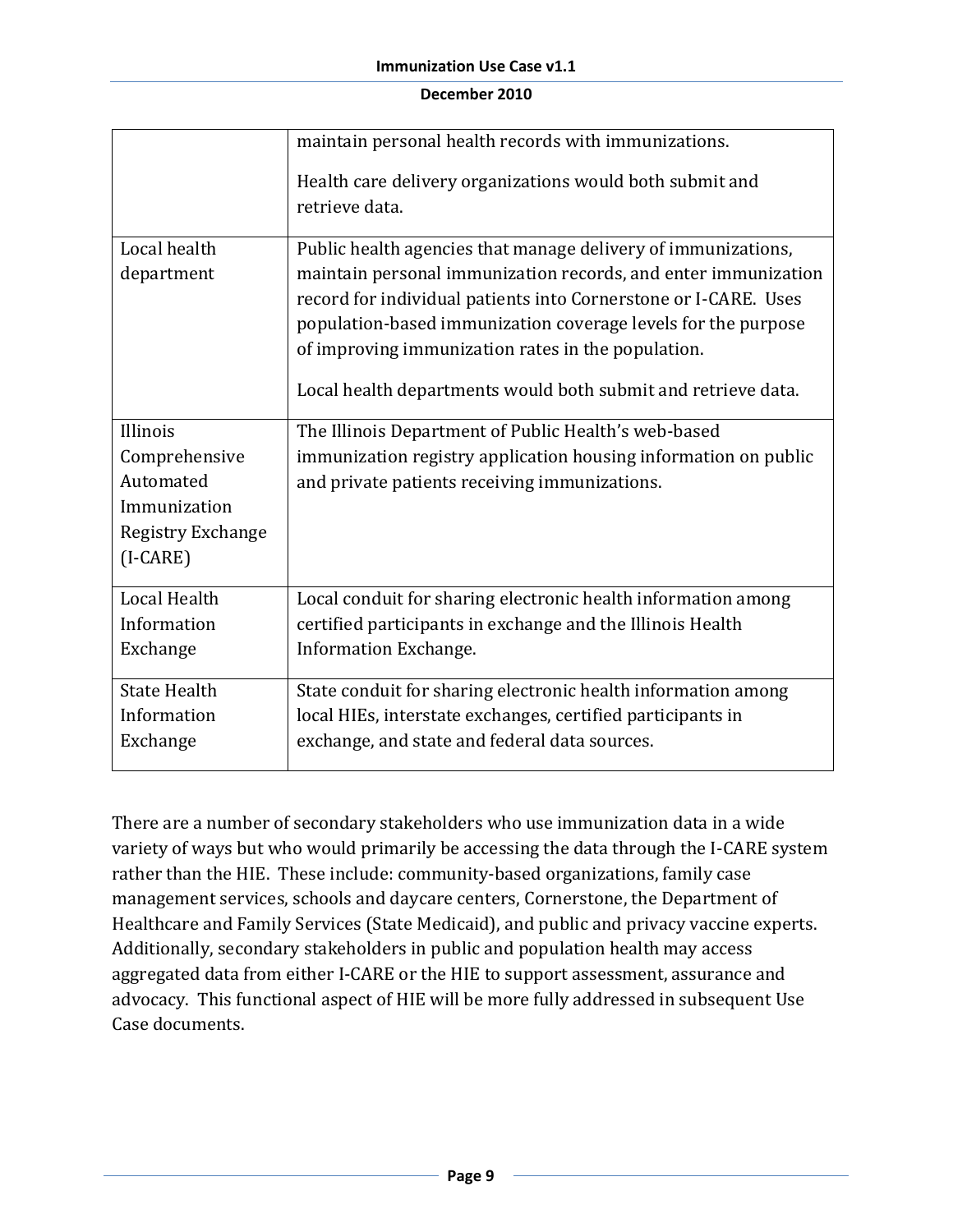|                                                                                           | maintain personal health records with immunizations.                                                                                                                                                                                                                                                                                                                                       |
|-------------------------------------------------------------------------------------------|--------------------------------------------------------------------------------------------------------------------------------------------------------------------------------------------------------------------------------------------------------------------------------------------------------------------------------------------------------------------------------------------|
|                                                                                           | Health care delivery organizations would both submit and<br>retrieve data.                                                                                                                                                                                                                                                                                                                 |
| Local health<br>department                                                                | Public health agencies that manage delivery of immunizations,<br>maintain personal immunization records, and enter immunization<br>record for individual patients into Cornerstone or I-CARE. Uses<br>population-based immunization coverage levels for the purpose<br>of improving immunization rates in the population.<br>Local health departments would both submit and retrieve data. |
| Illinois<br>Comprehensive<br>Automated<br>Immunization<br>Registry Exchange<br>$(I-CARE)$ | The Illinois Department of Public Health's web-based<br>immunization registry application housing information on public<br>and private patients receiving immunizations.                                                                                                                                                                                                                   |
| <b>Local Health</b><br>Information<br>Exchange                                            | Local conduit for sharing electronic health information among<br>certified participants in exchange and the Illinois Health<br><b>Information Exchange.</b>                                                                                                                                                                                                                                |
| <b>State Health</b><br>Information<br>Exchange                                            | State conduit for sharing electronic health information among<br>local HIEs, interstate exchanges, certified participants in<br>exchange, and state and federal data sources.                                                                                                                                                                                                              |

There are a number of secondary stakeholders who use immunization data in a wide variety of ways but who would primarily be accessing the data through the I-CARE system rather than the HIE. These include: community-based organizations, family case management services, schools and daycare centers, Cornerstone, the Department of Healthcare and Family Services (State Medicaid), and public and privacy vaccine experts. Additionally, secondary stakeholders in public and population health may access aggregated data from either I-CARE or the HIE to support assessment, assurance and advocacy. This functional aspect of HIE will be more fully addressed in subsequent Use Case documents.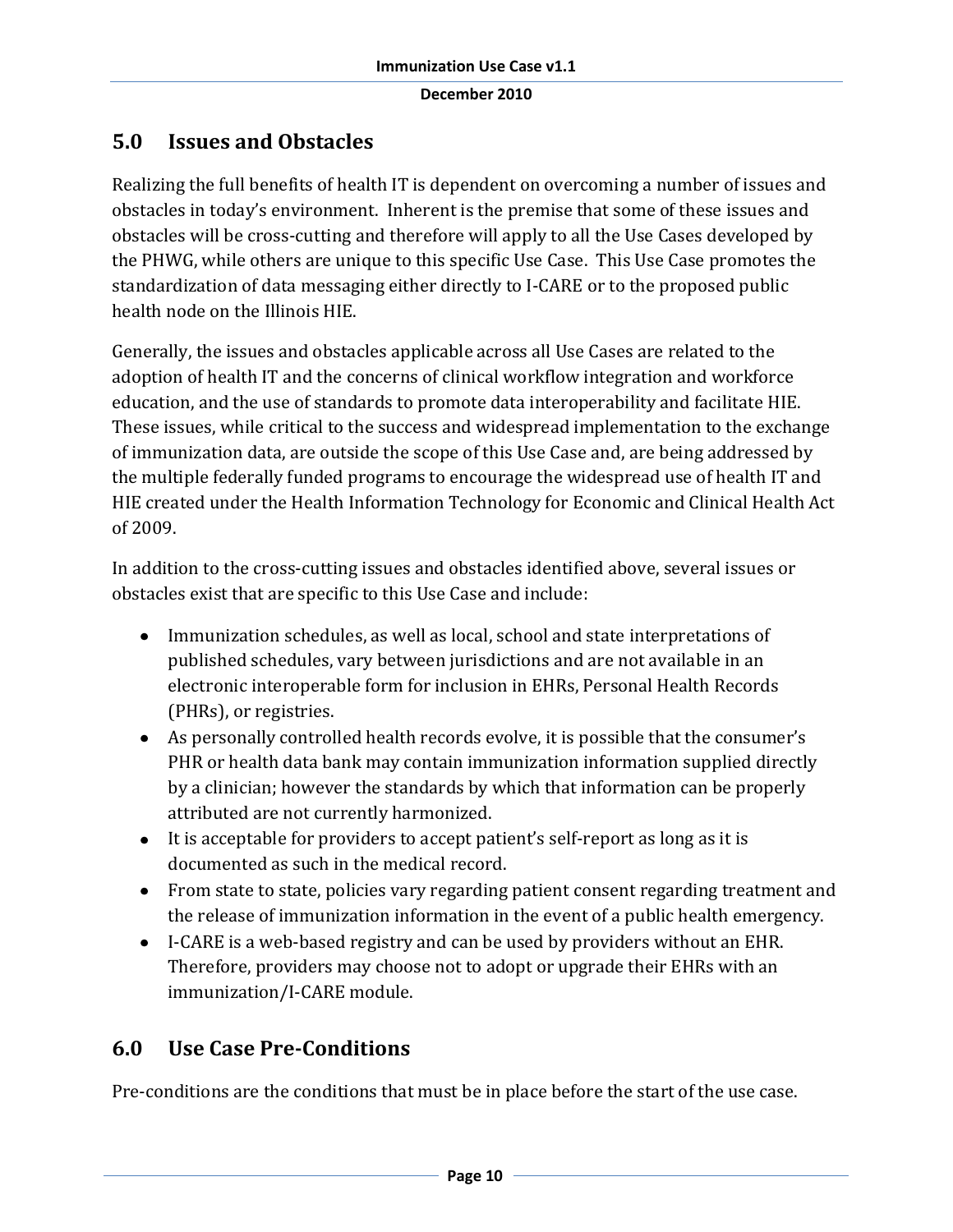## **5.0 Issues and Obstacles**

Realizing the full benefits of health IT is dependent on overcoming a number of issues and obstacles in today's environment. Inherent is the premise that some of these issues and obstacles will be cross-cutting and therefore will apply to all the Use Cases developed by the PHWG, while others are unique to this specific Use Case. This Use Case promotes the standardization of data messaging either directly to I-CARE or to the proposed public health node on the Illinois HIE.

Generally, the issues and obstacles applicable across all Use Cases are related to the adoption of health IT and the concerns of clinical workflow integration and workforce education, and the use of standards to promote data interoperability and facilitate HIE. These issues, while critical to the success and widespread implementation to the exchange of immunization data, are outside the scope of this Use Case and, are being addressed by the multiple federally funded programs to encourage the widespread use of health IT and HIE created under the Health Information Technology for Economic and Clinical Health Act of 2009.

In addition to the cross-cutting issues and obstacles identified above, several issues or obstacles exist that are specific to this Use Case and include:

- Immunization schedules, as well as local, school and state interpretations of published schedules, vary between jurisdictions and are not available in an electronic interoperable form for inclusion in EHRs, Personal Health Records (PHRs), or registries.
- As personally controlled health records evolve, it is possible that the consumer's PHR or health data bank may contain immunization information supplied directly by a clinician; however the standards by which that information can be properly attributed are not currently harmonized.
- It is acceptable for providers to accept patient's self-report as long as it is documented as such in the medical record.
- From state to state, policies vary regarding patient consent regarding treatment and the release of immunization information in the event of a public health emergency.
- I-CARE is a web-based registry and can be used by providers without an EHR. Therefore, providers may choose not to adopt or upgrade their EHRs with an immunization/I-CARE module.

## **6.0 Use Case Pre-Conditions**

Pre-conditions are the conditions that must be in place before the start of the use case.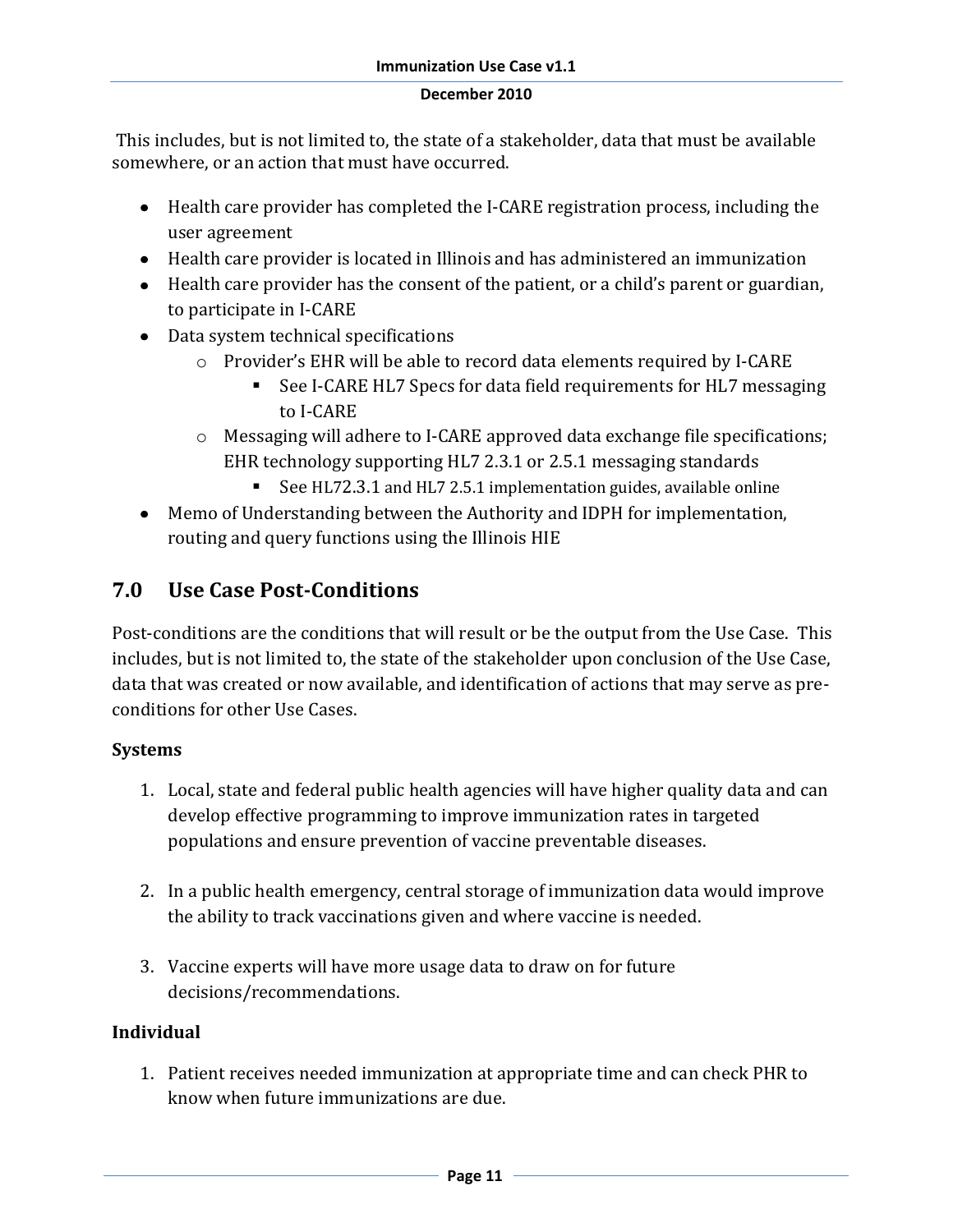This includes, but is not limited to, the state of a stakeholder, data that must be available somewhere, or an action that must have occurred.

- Health care provider has completed the I-CARE registration process, including the user agreement
- Health care provider is located in Illinois and has administered an immunization
- Health care provider has the consent of the patient, or a child's parent or guardian, to participate in I-CARE
- Data system technical specifications
	- o Provider's EHR will be able to record data elements required by I-CARE
		- See I-CARE HL7 Specs for data field requirements for HL7 messaging to I-CARE
	- o Messaging will adhere to I-CARE approved data exchange file specifications; EHR technology supporting HL7 2.3.1 or 2.5.1 messaging standards
		- See HL72.3.1 and HL7 2.5.1 implementation guides, available online
- Memo of Understanding between the Authority and IDPH for implementation, routing and query functions using the Illinois HIE

## **7.0 Use Case Post-Conditions**

Post-conditions are the conditions that will result or be the output from the Use Case. This includes, but is not limited to, the state of the stakeholder upon conclusion of the Use Case, data that was created or now available, and identification of actions that may serve as preconditions for other Use Cases.

#### **Systems**

- 1. Local, state and federal public health agencies will have higher quality data and can develop effective programming to improve immunization rates in targeted populations and ensure prevention of vaccine preventable diseases.
- 2. In a public health emergency, central storage of immunization data would improve the ability to track vaccinations given and where vaccine is needed.
- 3. Vaccine experts will have more usage data to draw on for future decisions/recommendations.

## **Individual**

1. Patient receives needed immunization at appropriate time and can check PHR to know when future immunizations are due.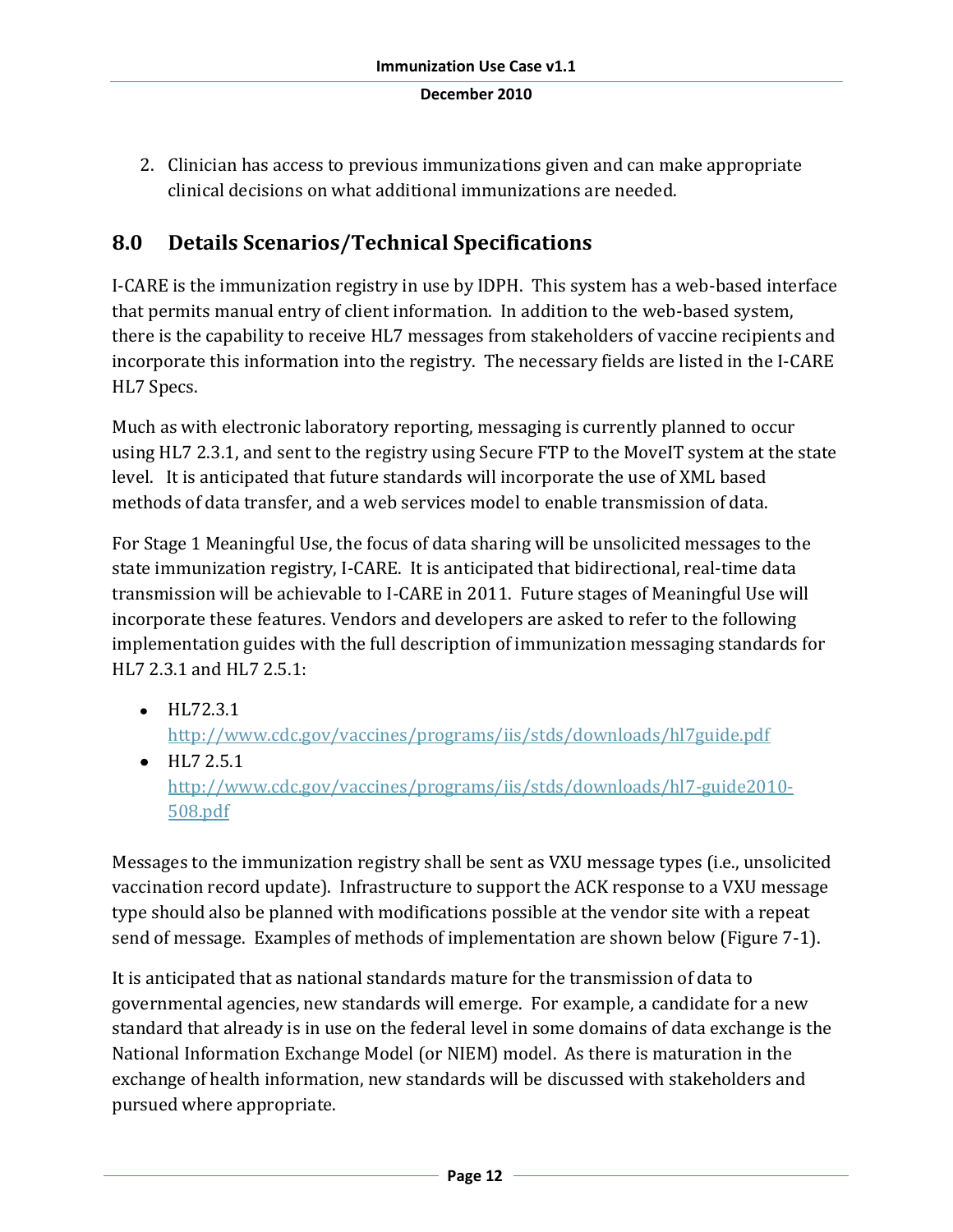2. Clinician has access to previous immunizations given and can make appropriate clinical decisions on what additional immunizations are needed.

## **8.0 Details Scenarios/Technical Specifications**

I-CARE is the immunization registry in use by IDPH. This system has a web-based interface that permits manual entry of client information. In addition to the web-based system, there is the capability to receive HL7 messages from stakeholders of vaccine recipients and incorporate this information into the registry. The necessary fields are listed in the I-CARE HL7 Specs.

Much as with electronic laboratory reporting, messaging is currently planned to occur using HL7 2.3.1, and sent to the registry using Secure FTP to the MoveIT system at the state level. It is anticipated that future standards will incorporate the use of XML based methods of data transfer, and a web services model to enable transmission of data.

For Stage 1 Meaningful Use, the focus of data sharing will be unsolicited messages to the state immunization registry, I-CARE. It is anticipated that bidirectional, real-time data transmission will be achievable to I-CARE in 2011. Future stages of Meaningful Use will incorporate these features. Vendors and developers are asked to refer to the following implementation guides with the full description of immunization messaging standards for HL7 2.3.1 and HL7 2.5.1:

- $\bullet$  HL72.3.1 <http://www.cdc.gov/vaccines/programs/iis/stds/downloads/hl7guide.pdf>
- $\bullet$  HL7 2.5.1 [http://www.cdc.gov/vaccines/programs/iis/stds/downloads/hl7-guide2010-](http://www.cdc.gov/vaccines/programs/iis/stds/downloads/hl7-guide2010-508.pdf) [508.pdf](http://www.cdc.gov/vaccines/programs/iis/stds/downloads/hl7-guide2010-508.pdf)

Messages to the immunization registry shall be sent as VXU message types (i.e., unsolicited vaccination record update). Infrastructure to support the ACK response to a VXU message type should also be planned with modifications possible at the vendor site with a repeat send of message. Examples of methods of implementation are shown below (Figure 7-1).

It is anticipated that as national standards mature for the transmission of data to governmental agencies, new standards will emerge. For example, a candidate for a new standard that already is in use on the federal level in some domains of data exchange is the National Information Exchange Model (or NIEM) model. As there is maturation in the exchange of health information, new standards will be discussed with stakeholders and pursued where appropriate.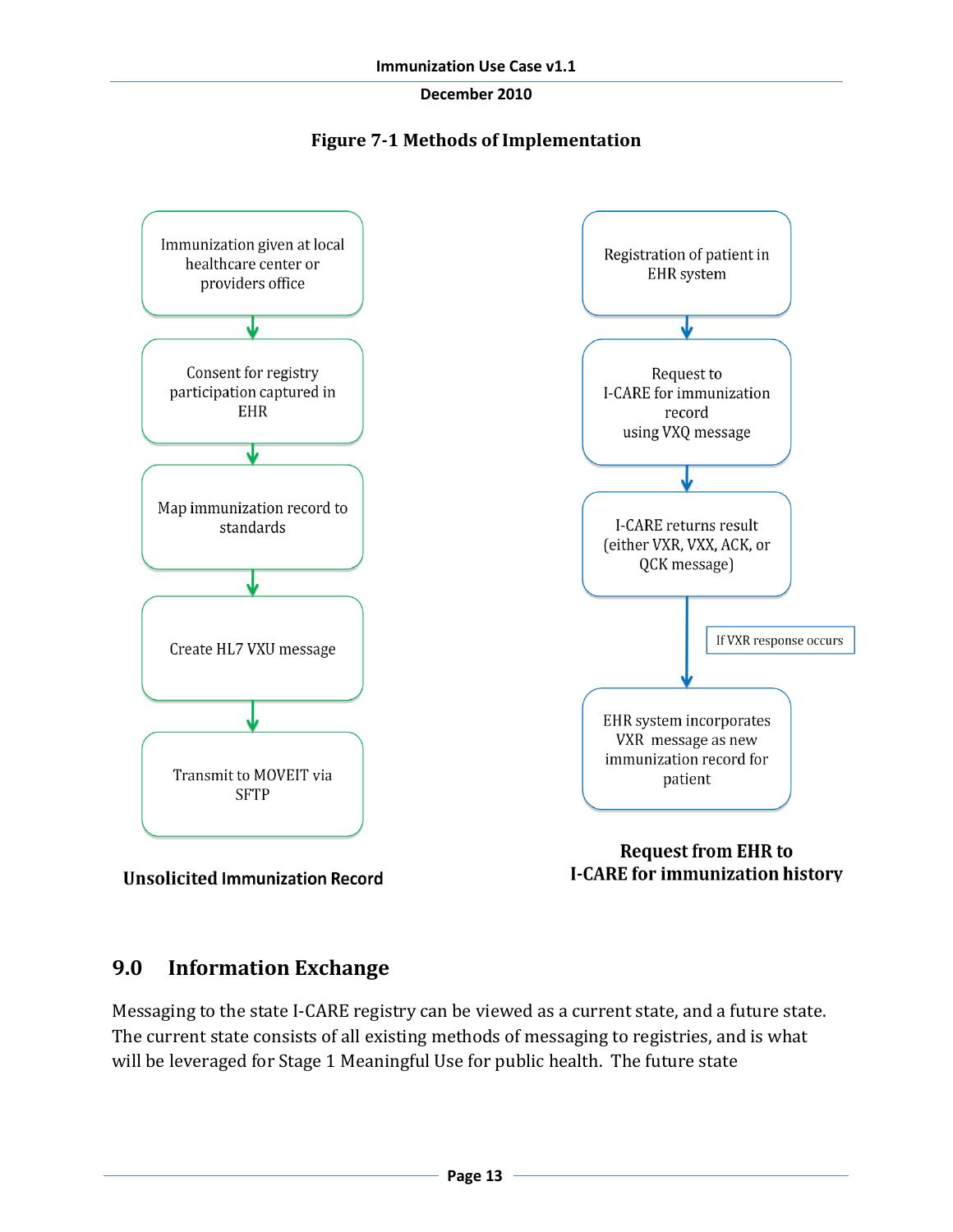



**Unsolicited Immunization Record** 

**I-CARE for immunization history** 

## **9.0 Information Exchange**

Messaging to the state I-CARE registry can be viewed as a current state, and a future state. The current state consists of all existing methods of messaging to registries, and is what will be leveraged for Stage 1 Meaningful Use for public health. The future state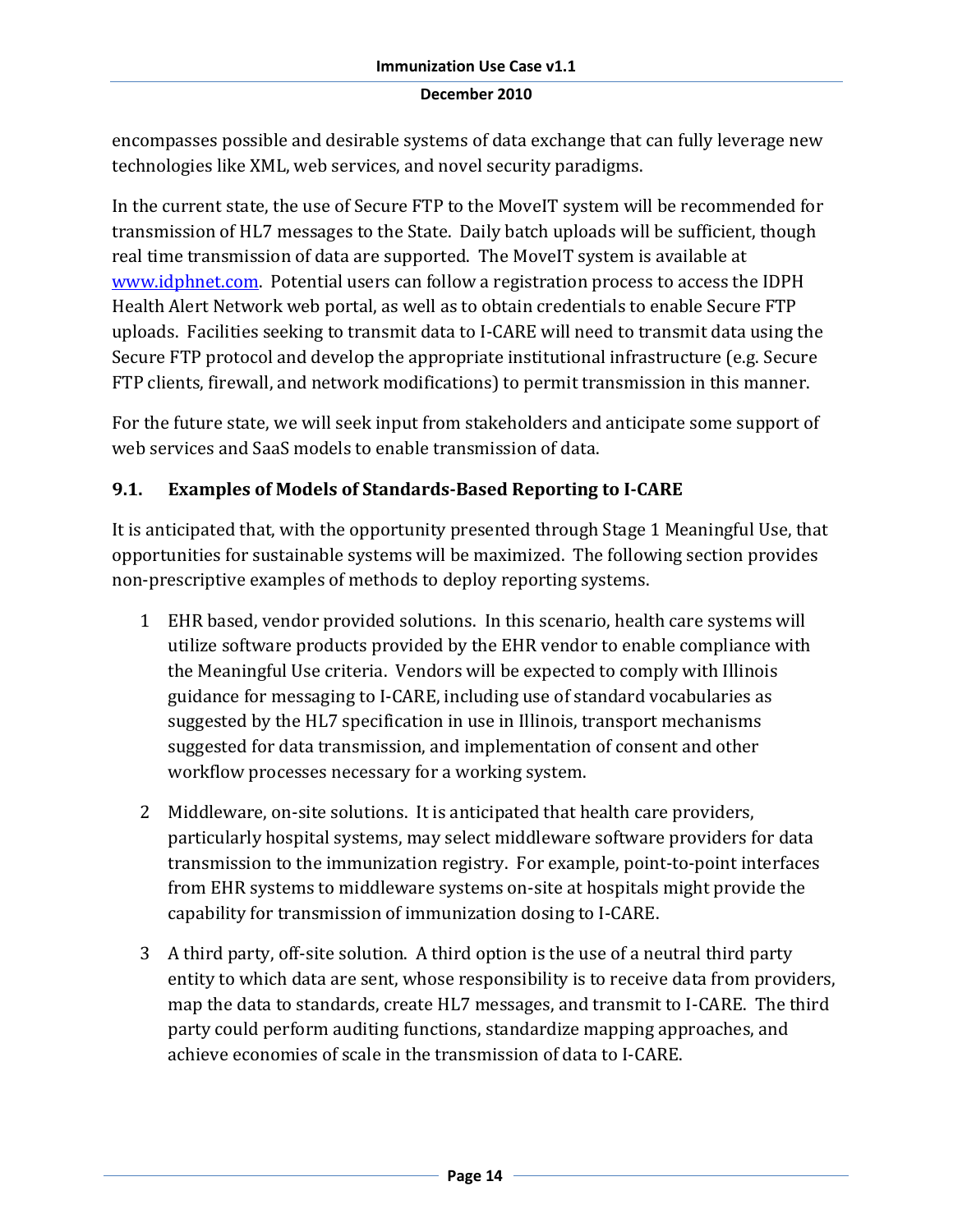encompasses possible and desirable systems of data exchange that can fully leverage new technologies like XML, web services, and novel security paradigms.

In the current state, the use of Secure FTP to the MoveIT system will be recommended for transmission of HL7 messages to the State. Daily batch uploads will be sufficient, though real time transmission of data are supported. The MoveIT system is available at [www.idphnet.com.](http://www.idphnet.com/) Potential users can follow a registration process to access the IDPH Health Alert Network web portal, as well as to obtain credentials to enable Secure FTP uploads. Facilities seeking to transmit data to I-CARE will need to transmit data using the Secure FTP protocol and develop the appropriate institutional infrastructure (e.g. Secure FTP clients, firewall, and network modifications) to permit transmission in this manner.

For the future state, we will seek input from stakeholders and anticipate some support of web services and SaaS models to enable transmission of data.

## **9.1. Examples of Models of Standards-Based Reporting to I-CARE**

It is anticipated that, with the opportunity presented through Stage 1 Meaningful Use, that opportunities for sustainable systems will be maximized. The following section provides non-prescriptive examples of methods to deploy reporting systems.

- 1 EHR based, vendor provided solutions. In this scenario, health care systems will utilize software products provided by the EHR vendor to enable compliance with the Meaningful Use criteria. Vendors will be expected to comply with Illinois guidance for messaging to I-CARE, including use of standard vocabularies as suggested by the HL7 specification in use in Illinois, transport mechanisms suggested for data transmission, and implementation of consent and other workflow processes necessary for a working system.
- 2 Middleware, on-site solutions. It is anticipated that health care providers, particularly hospital systems, may select middleware software providers for data transmission to the immunization registry. For example, point-to-point interfaces from EHR systems to middleware systems on-site at hospitals might provide the capability for transmission of immunization dosing to I-CARE.
- 3 A third party, off-site solution. A third option is the use of a neutral third party entity to which data are sent, whose responsibility is to receive data from providers, map the data to standards, create HL7 messages, and transmit to I-CARE. The third party could perform auditing functions, standardize mapping approaches, and achieve economies of scale in the transmission of data to I-CARE.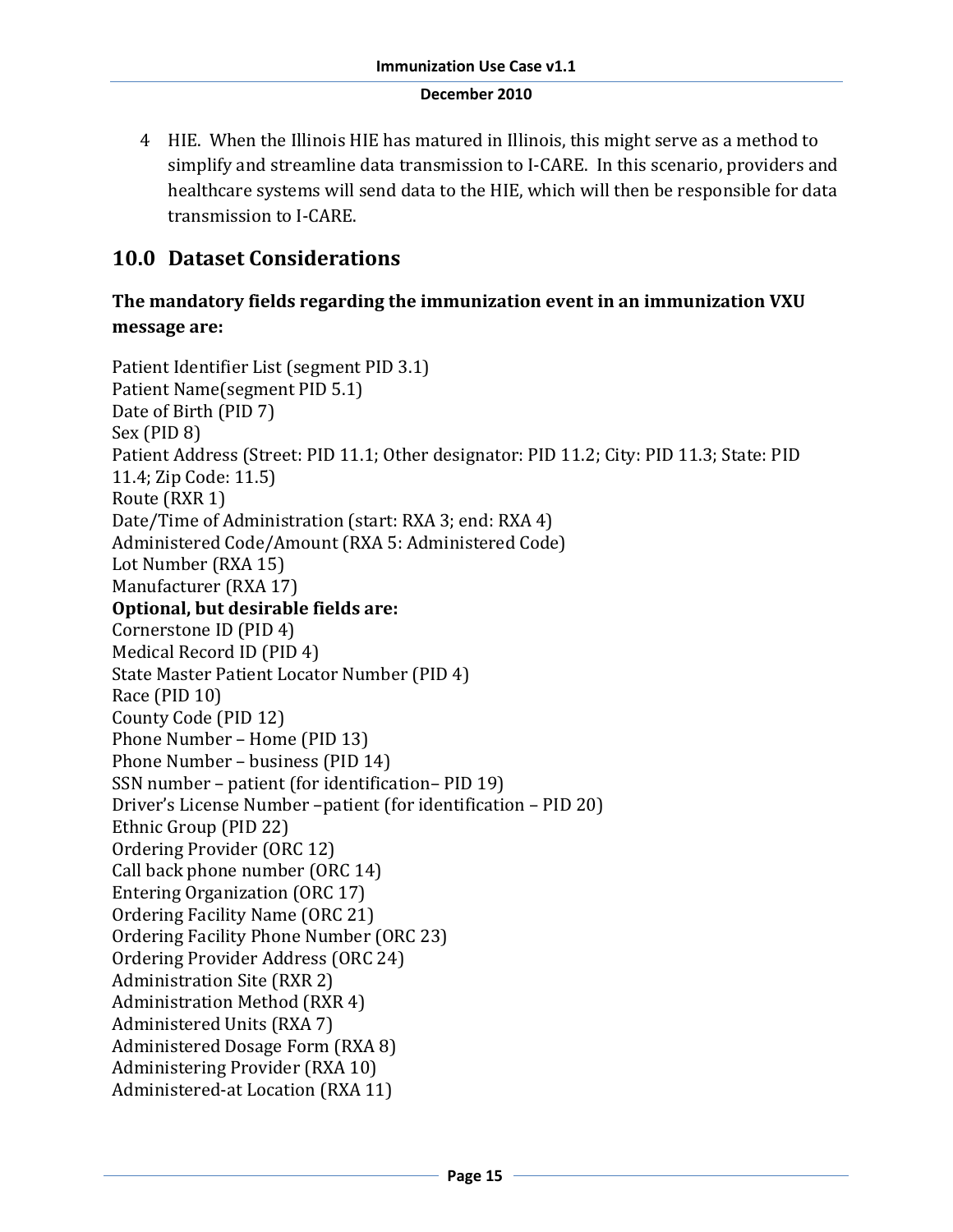4 HIE. When the Illinois HIE has matured in Illinois, this might serve as a method to simplify and streamline data transmission to I-CARE. In this scenario, providers and healthcare systems will send data to the HIE, which will then be responsible for data transmission to I-CARE.

## **10.0 Dataset Considerations**

## **The mandatory fields regarding the immunization event in an immunization VXU message are:**

```
Patient Identifier List (segment PID 3.1)
Patient Name(segment PID 5.1)
Date of Birth (PID 7)
Sex (PID 8)
Patient Address (Street: PID 11.1; Other designator: PID 11.2; City: PID 11.3; State: PID 
11.4; Zip Code: 11.5) 
Route (RXR 1)
Date/Time of Administration (start: RXA 3; end: RXA 4)
Administered Code/Amount (RXA 5: Administered Code)
Lot Number (RXA 15)
Manufacturer (RXA 17)
Optional, but desirable fields are:
Cornerstone ID (PID 4)
Medical Record ID (PID 4)
State Master Patient Locator Number (PID 4)
Race (PID 10)
County Code (PID 12)
Phone Number – Home (PID 13)
Phone Number – business (PID 14)
SSN number – patient (for identification– PID 19)
Driver's License Number –patient (for identification – PID 20)
Ethnic Group (PID 22)
Ordering Provider (ORC 12)
Call back phone number (ORC 14)
Entering Organization (ORC 17)
Ordering Facility Name (ORC 21)
Ordering Facility Phone Number (ORC 23)
Ordering Provider Address (ORC 24)
Administration Site (RXR 2)
Administration Method (RXR 4)
Administered Units (RXA 7)
Administered Dosage Form (RXA 8)
Administering Provider (RXA 10)
Administered-at Location (RXA 11)
```